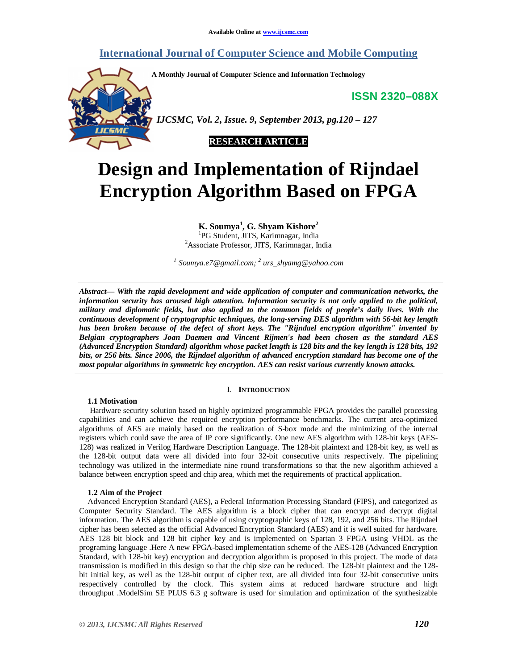# **International Journal of Computer Science and Mobile Computing**

**A Monthly Journal of Computer Science and Information Technology**

**ISSN 2320–088X**



 *IJCSMC, Vol. 2, Issue. 9, September 2013, pg.120 – 127*



# **Design and Implementation of Rijndael Encryption Algorithm Based on FPGA**

**K. Soumya<sup>1</sup> , G. Shyam Kishore<sup>2</sup>**

<sup>1</sup>PG Student, JITS, Karimnagar, India <sup>2</sup>Associate Professor, JITS, Karimnagar, India

*1 Soumya.e7@gmail.com; <sup>2</sup> urs\_shyamg@yahoo.com*

*Abstract— With the rapid development and wide application of computer and communication networks, the information security has aroused high attention. Information security is not only applied to the political, military and diplomatic fields, but also applied to the common fields of people's daily lives. With the continuous development of cryptographic techniques, the long-serving DES algorithm with 56-bit key length has been broken because of the defect of short keys. The "Rijndael encryption algorithm" invented by Belgian cryptographers Joan Daemen and Vincent Rijmen's had been chosen as the standard AES (Advanced Encryption Standard) algorithm whose packet length is 128 bits and the key length is 128 bits, 192 bits, or 256 bits. Since 2006, the Rijndael algorithm of advanced encryption standard has become one of the most popular algorithms in symmetric key encryption. AES can resist various currently known attacks.*

# I. **INTRODUCTION**

#### **1.1 Motivation**

Hardware security solution based on highly optimized programmable FPGA provides the parallel processing capabilities and can achieve the required encryption performance benchmarks. The current area-optimized algorithms of AES are mainly based on the realization of S-box mode and the minimizing of the internal registers which could save the area of IP core significantly. One new AES algorithm with 128-bit keys (AES-128) was realized in Verilog Hardware Description Language. The 128-bit plaintext and 128-bit key, as well as the 128-bit output data were all divided into four 32-bit consecutive units respectively. The pipelining technology was utilized in the intermediate nine round transformations so that the new algorithm achieved a balance between encryption speed and chip area, which met the requirements of practical application.

#### **1.2 Aim of the Project**

Advanced Encryption Standard (AES), a Federal Information Processing Standard (FIPS), and categorized as Computer Security Standard. The AES algorithm is a block cipher that can encrypt and decrypt digital information. The AES algorithm is capable of using cryptographic keys of 128, 192, and 256 bits. The Rijndael cipher has been selected as the official Advanced Encryption Standard (AES) and it is well suited for hardware. AES 128 bit block and 128 bit cipher key and is implemented on Spartan 3 FPGA using VHDL as the programing language .Here A new FPGA-based implementation scheme of the AES-128 (Advanced Encryption Standard, with 128-bit key) encryption and decryption algorithm is proposed in this project. The mode of data transmission is modified in this design so that the chip size can be reduced. The 128-bit plaintext and the 128 bit initial key, as well as the 128-bit output of cipher text, are all divided into four 32-bit consecutive units respectively controlled by the clock. This system aims at reduced hardware structure and high throughput .ModelSim SE PLUS 6.3 g software is used for simulation and optimization of the synthesizable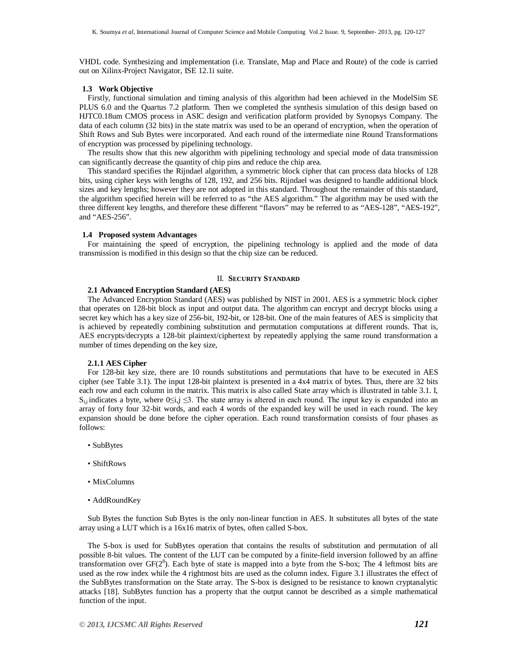VHDL code. Synthesizing and implementation (i.e. Translate, Map and Place and Route) of the code is carried out on Xilinx-Project Navigator, ISE 12.1i suite.

#### **1.3 Work Objective**

Firstly, functional simulation and timing analysis of this algorithm had been achieved in the ModelSim SE PLUS 6.0 and the Quartus 7.2 platform. Then we completed the synthesis simulation of this design based on HJTC0.18um CMOS process in ASIC design and verification platform provided by Synopsys Company. The data of each column (32 bits) in the state matrix was used to be an operand of encryption, when the operation of Shift Rows and Sub Bytes were incorporated. And each round of the intermediate nine Round Transformations of encryption was processed by pipelining technology.

The results show that this new algorithm with pipelining technology and special mode of data transmission can significantly decrease the quantity of chip pins and reduce the chip area.

This standard specifies the Rijndael algorithm, a symmetric block cipher that can process data blocks of 128 bits, using cipher keys with lengths of 128, 192, and 256 bits. Rijndael was designed to handle additional block sizes and key lengths; however they are not adopted in this standard. Throughout the remainder of this standard, the algorithm specified herein will be referred to as "the AES algorithm." The algorithm may be used with the three different key lengths, and therefore these different "flavors" may be referred to as "AES-128", "AES-192", and "AES-256".

#### **1.4 Proposed system Advantages**

For maintaining the speed of encryption, the pipelining technology is applied and the mode of data transmission is modified in this design so that the chip size can be reduced.

#### II. **SECURITY STANDARD**

### **2.1 Advanced Encryption Standard (AES)**

The Advanced Encryption Standard (AES) was published by NIST in 2001. AES is a symmetric block cipher that operates on 128-bit block as input and output data. The algorithm can encrypt and decrypt blocks using a secret key which has a key size of 256-bit, 192-bit, or 128-bit. One of the main features of AES is simplicity that is achieved by repeatedly combining substitution and permutation computations at different rounds. That is, AES encrypts/decrypts a 128-bit plaintext/ciphertext by repeatedly applying the same round transformation a number of times depending on the key size,

#### **2.1.1 AES Cipher**

For 128-bit key size, there are 10 rounds substitutions and permutations that have to be executed in AES cipher (see Table 3.1). The input 128-bit plaintext is presented in a 4x4 matrix of bytes. Thus, there are 32 bits each row and each column in the matrix. This matrix is also called State array which is illustrated in table 3.1. I,  $S_{i,j}$  indicates a byte, where  $0 \le i,j \le 3$ . The state array is altered in each round. The input key is expanded into an array of forty four 32-bit words, and each 4 words of the expanded key will be used in each round. The key expansion should be done before the cipher operation. Each round transformation consists of four phases as follows:

- SubBytes
- ShiftRows
- MixColumns
- AddRoundKey

Sub Bytes the function Sub Bytes is the only non-linear function in AES. It substitutes all bytes of the state array using a LUT which is a 16x16 matrix of bytes, often called S-box.

The S-box is used for SubBytes operation that contains the results of substitution and permutation of all possible 8-bit values. The content of the LUT can be computed by a finite-field inversion followed by an affine transformation over  $GF(2^8)$ . Each byte of state is mapped into a byte from the S-box; The 4 leftmost bits are used as the row index while the 4 rightmost bits are used as the column index. Figure 3.1 illustrates the effect of the SubBytes transformation on the State array. The S-box is designed to be resistance to known cryptanalytic attacks [18]. SubBytes function has a property that the output cannot be described as a simple mathematical function of the input.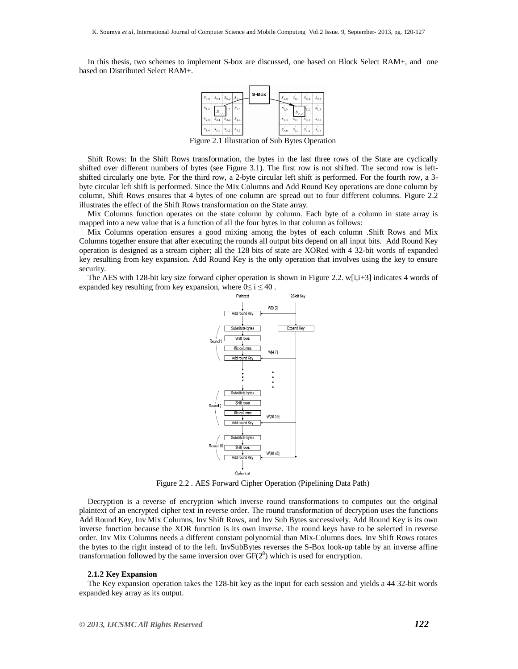In this thesis, two schemes to implement S-box are discussed, one based on Block Select RAM+, and one based on Distributed Select RAM+.



Figure 2.1 Illustration of Sub Bytes Operation

Shift Rows: In the Shift Rows transformation, the bytes in the last three rows of the State are cyclically shifted over different numbers of bytes (see Figure 3.1). The first row is not shifted. The second row is leftshifted circularly one byte. For the third row, a 2-byte circular left shift is performed. For the fourth row, a 3 byte circular left shift is performed. Since the Mix Columns and Add Round Key operations are done column by column, Shift Rows ensures that 4 bytes of one column are spread out to four different columns. Figure 2.2 illustrates the effect of the Shift Rows transformation on the State array.

Mix Columns function operates on the state column by column. Each byte of a column in state array is mapped into a new value that is a function of all the four bytes in that column as follows:

Mix Columns operation ensures a good mixing among the bytes of each column .Shift Rows and Mix Columns together ensure that after executing the rounds all output bits depend on all input bits. Add Round Key operation is designed as a stream cipher; all the 128 bits of state are XORed with 4 32-bit words of expanded key resulting from key expansion. Add Round Key is the only operation that involves using the key to ensure security.

The AES with 128-bit key size forward cipher operation is shown in Figure 2.2. w[i,i+3] indicates 4 words of expanded key resulting from key expansion, where  $0 \le i \le 40$ .



Figure 2.2 . AES Forward Cipher Operation (Pipelining Data Path)

Decryption is a reverse of encryption which inverse round transformations to computes out the original plaintext of an encrypted cipher text in reverse order. The round transformation of decryption uses the functions Add Round Key, Inv Mix Columns, Inv Shift Rows, and Inv Sub Bytes successively. Add Round Key is its own inverse function because the XOR function is its own inverse. The round keys have to be selected in reverse order. Inv Mix Columns needs a different constant polynomial than Mix-Columns does. Inv Shift Rows rotates the bytes to the right instead of to the left. InvSubBytes reverses the S-Box look-up table by an inverse affine transformation followed by the same inversion over  $GF(2<sup>8</sup>)$  which is used for encryption.

#### **2.1.2 Key Expansion**

The Key expansion operation takes the 128-bit key as the input for each session and yields a 44 32-bit words expanded key array as its output.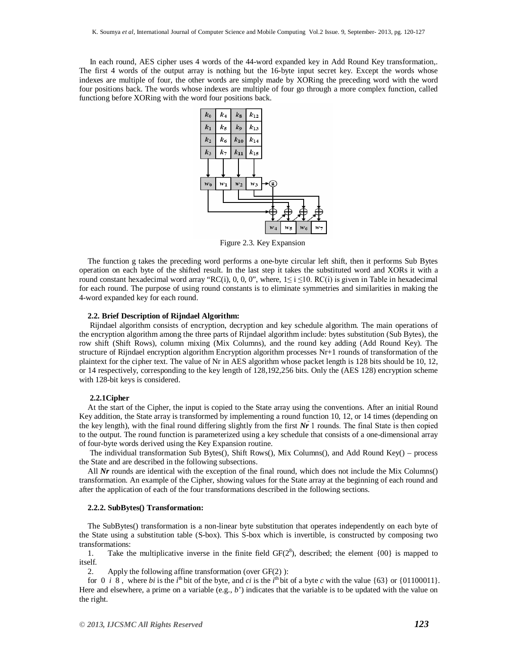In each round, AES cipher uses 4 words of the 44-word expanded key in Add Round Key transformation,. The first 4 words of the output array is nothing but the 16-byte input secret key. Except the words whose indexes are multiple of four, the other words are simply made by XORing the preceding word with the word four positions back. The words whose indexes are multiple of four go through a more complex function, called functiong before XORing with the word four positions back.



Figure 2.3. Key Expansion

The function g takes the preceding word performs a one-byte circular left shift, then it performs Sub Bytes operation on each byte of the shifted result. In the last step it takes the substituted word and XORs it with a round constant hexadecimal word array "RC(i), 0, 0, 0", where,  $1 \le i \le 10$ . RC(i) is given in Table in hexadecimal for each round. The purpose of using round constants is to eliminate symmetries and similarities in making the 4-word expanded key for each round.

#### **2.2. Brief Description of Rijndael Algorithm:**

Rijndael algorithm consists of encryption, decryption and key schedule algorithm. The main operations of the encryption algorithm among the three parts of Rijndael algorithm include: bytes substitution (Sub Bytes), the row shift (Shift Rows), column mixing (Mix Columns), and the round key adding (Add Round Key). The structure of Rijndael encryption algorithm Encryption algorithm processes Nr+1 rounds of transformation of the plaintext for the cipher text. The value of Nr in AES algorithm whose packet length is 128 bits should be 10, 12, or 14 respectively, corresponding to the key length of 128,192,256 bits. Only the (AES 128) encryption scheme with 128-bit keys is considered.

#### **2.2.1Cipher**

At the start of the Cipher, the input is copied to the State array using the conventions. After an initial Round Key addition, the State array is transformed by implementing a round function 10, 12, or 14 times (depending on the key length), with the final round differing slightly from the first *Nr* 1 rounds. The final State is then copied to the output. The round function is parameterized using a key schedule that consists of a one-dimensional array of four-byte words derived using the Key Expansion routine.

The individual transformation Sub Bytes(), Shift Rows(), Mix Columns(), and Add Round Key() – process the State and are described in the following subsections.

All *Nr* rounds are identical with the exception of the final round, which does not include the Mix Columns() transformation. An example of the Cipher, showing values for the State array at the beginning of each round and after the application of each of the four transformations described in the following sections.

#### **2.2.2. SubBytes() Transformation:**

The SubBytes() transformation is a non-linear byte substitution that operates independently on each byte of the State using a substitution table (S-box). This S-box which is invertible, is constructed by composing two transformations:<br>1. Take the

1. Take the multiplicative inverse in the finite field  $GF(2<sup>8</sup>)$ , described; the element  $\{00\}$  is mapped to itself.

2. Apply the following affine transformation (over GF(2) ):

for 0 *i* 8, where *bi* is the *i*<sup>th</sup> bit of the byte, and *ci* is the *i*<sup>th</sup> bit of a byte *c* with the value {63} or {01100011}. Here and elsewhere, a prime on a variable (e.g., *b*') indicates that the variable is to be updated with the value on the right.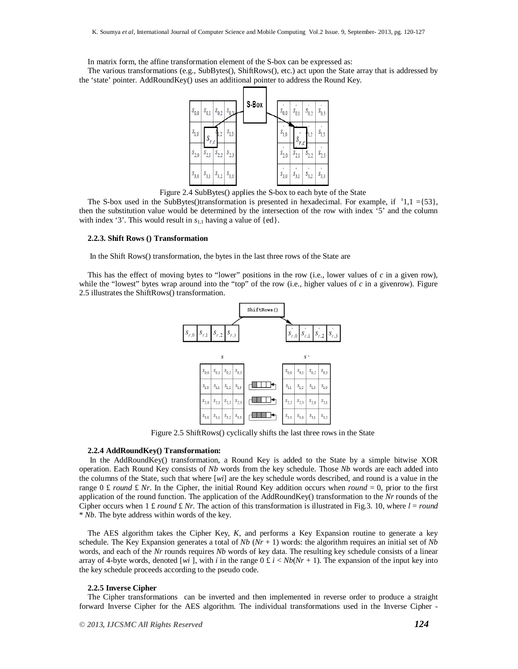In matrix form, the affine transformation element of the S-box can be expressed as:

The various transformations (e.g., SubBytes(), ShiftRows(), etc.) act upon the State array that is addressed by the 'state' pointer. AddRoundKey() uses an additional pointer to address the Round Key.



Figure 2.4 SubBytes() applies the S-box to each byte of the State

The S-box used in the SubBytes()transformation is presented in hexadecimal. For example, if  $s$ 1,1 ={53}, then the substitution value would be determined by the intersection of the row with index '5' and the column with index '3'. This would result in  $s<sub>1,1</sub>$  having a value of {ed}.

#### **2.2.3. Shift Rows () Transformation**

In the Shift Rows() transformation, the bytes in the last three rows of the State are

This has the effect of moving bytes to "lower" positions in the row (i.e., lower values of *c* in a given row), while the "lowest" bytes wrap around into the "top" of the row (i.e., higher values of  $c$  in a givenrow). Figure 2.5 illustrates the ShiftRows() transformation.



Figure 2.5 ShiftRows() cyclically shifts the last three rows in the State

#### **2.2.4 AddRoundKey() Transformation:**

In the AddRoundKey() transformation, a Round Key is added to the State by a simple bitwise XOR operation. Each Round Key consists of *Nb* words from the key schedule. Those *Nb* words are each added into the columns of the State, such that where [*wi*] are the key schedule words described, and round is a value in the range 0  $\pounds$  *round*  $\pounds$  *Nr*. In the Cipher, the initial Round Key addition occurs when *round* = 0, prior to the first application of the round function. The application of the AddRoundKey() transformation to the *Nr* rounds of the Cipher occurs when  $1 \text{ £}$  *round*  $\text{£}$  *Nr*. The action of this transformation is illustrated in Fig.3. 10, where  $l = round$ \* *Nb*. The byte address within words of the key.

The AES algorithm takes the Cipher Key, *K*, and performs a Key Expansion routine to generate a key schedule. The Key Expansion generates a total of  $Nb (Nr + 1)$  words: the algorithm requires an initial set of  $Nb$ words, and each of the *Nr* rounds requires *Nb* words of key data. The resulting key schedule consists of a linear array of 4-byte words, denoted [*wi*], with *i* in the range  $0 \n\t\pounds i \lt Nb(Nr + 1)$ . The expansion of the input key into the key schedule proceeds according to the pseudo code.

#### **2.2.5 Inverse Cipher**

The Cipher transformations can be inverted and then implemented in reverse order to produce a straight forward Inverse Cipher for the AES algorithm. The individual transformations used in the Inverse Cipher -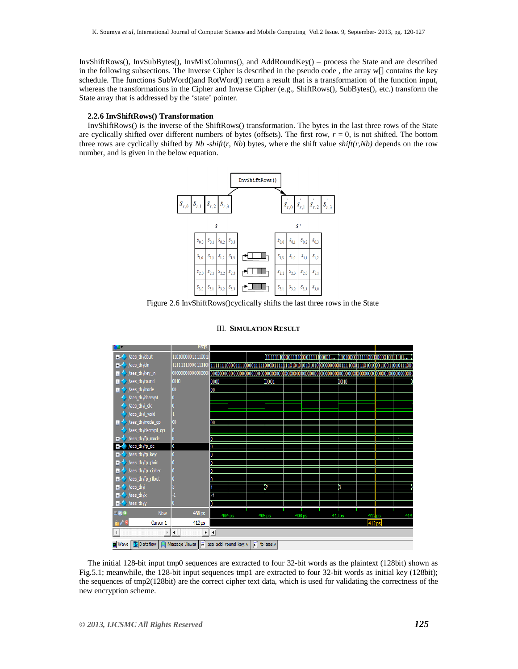InvShiftRows(), InvSubBytes(), InvMixColumns(), and AddRoundKey() – process the State and are described in the following subsections. The Inverse Cipher is described in the pseudo code , the array w[] contains the key schedule. The functions SubWord()and RotWord() return a result that is a transformation of the function input, whereas the transformations in the Cipher and Inverse Cipher (e.g., ShiftRows(), SubBytes(), etc.) transform the State array that is addressed by the 'state' pointer.

# **2.2.6 InvShiftRows() Transformation**

InvShiftRows() is the inverse of the ShiftRows() transformation. The bytes in the last three rows of the State are cyclically shifted over different numbers of bytes (offsets). The first row,  $r = 0$ , is not shifted. The bottom three rows are cyclically shifted by *Nb* -*shift*(*r*, *Nb*) bytes, where the shift value *shift(r,Nb)* depends on the row number, and is given in the below equation.



Figure 2.6 InvShiftRows()cyclically shifts the last three rows in the State



# III. **SIMULATION RESULT**

The initial 128-bit input tmp0 sequences are extracted to four 32-bit words as the plaintext (128bit) shown as Fig.5.1; meanwhile, the 128-bit input sequences tmp1 are extracted to four 32-bit words as initial key (128bit); the sequences of tmp2(128bit) are the correct cipher text data, which is used for validating the correctness of the new encryption scheme.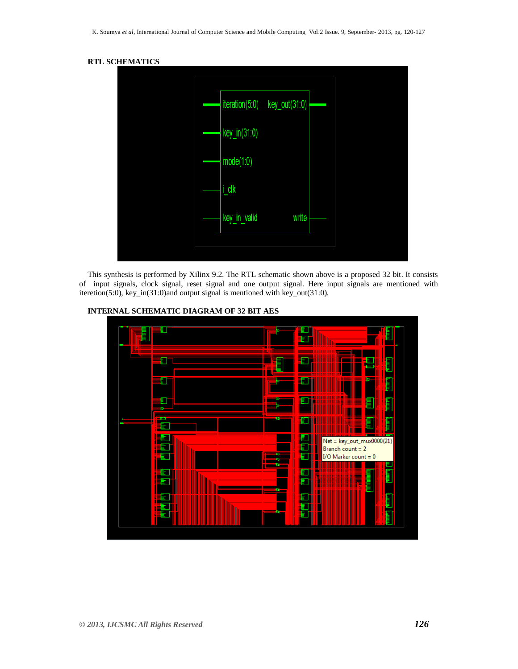

This synthesis is performed by Xilinx 9.2. The RTL schematic shown above is a proposed 32 bit. It consists of input signals, clock signal, reset signal and one output signal. Here input signals are mentioned with iteretion(5:0), key\_in(31:0)and output signal is mentioned with key\_out(31:0).



# **INTERNAL SCHEMATIC DIAGRAM OF 32 BIT AES**